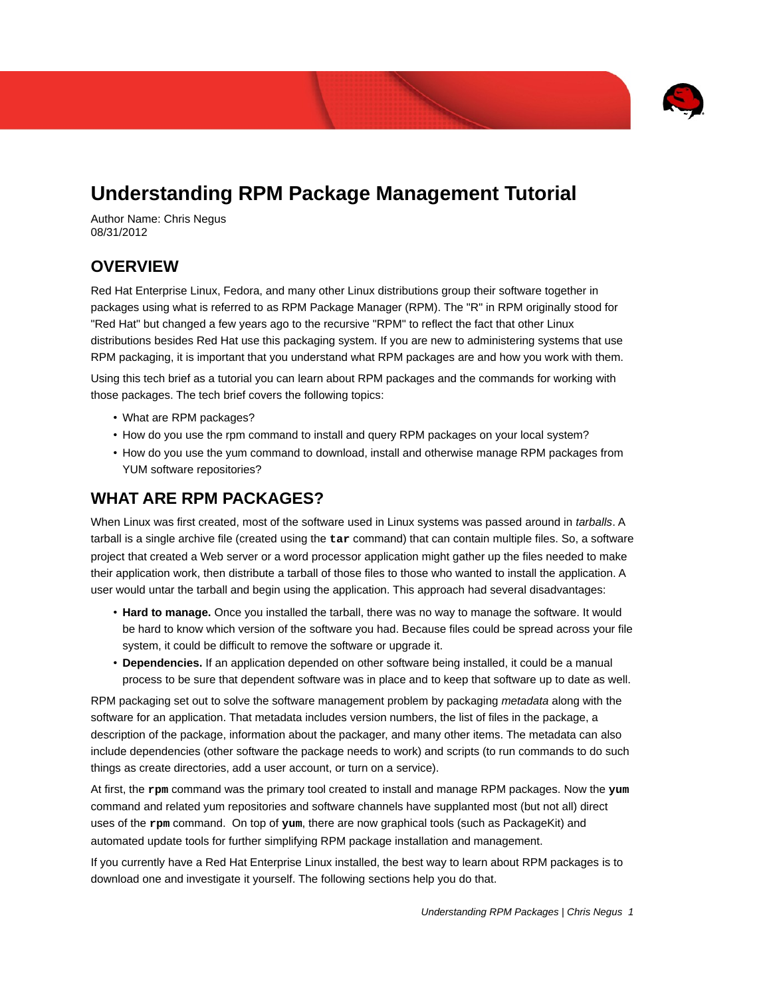

# **Understanding RPM Package Management Tutorial**

Author Name: Chris Negus 08/31/2012

#### **OVERVIEW**

Red Hat Enterprise Linux, Fedora, and many other Linux distributions group their software together in packages using what is referred to as RPM Package Manager (RPM). The "R" in RPM originally stood for "Red Hat" but changed a few years ago to the recursive "RPM" to reflect the fact that other Linux distributions besides Red Hat use this packaging system. If you are new to administering systems that use RPM packaging, it is important that you understand what RPM packages are and how you work with them.

Using this tech brief as a tutorial you can learn about RPM packages and the commands for working with those packages. The tech brief covers the following topics:

- What are RPM packages?
- How do you use the rpm command to install and query RPM packages on your local system?
- How do you use the yum command to download, install and otherwise manage RPM packages from YUM software repositories?

### **WHAT ARE RPM PACKAGES?**

When Linux was first created, most of the software used in Linux systems was passed around in *tarballs*. A tarball is a single archive file (created using the **tar** command) that can contain multiple files. So, a software project that created a Web server or a word processor application might gather up the files needed to make their application work, then distribute a tarball of those files to those who wanted to install the application. A user would untar the tarball and begin using the application. This approach had several disadvantages:

- **Hard to manage.** Once you installed the tarball, there was no way to manage the software. It would be hard to know which version of the software you had. Because files could be spread across your file system, it could be difficult to remove the software or upgrade it.
- **Dependencies.** If an application depended on other software being installed, it could be a manual process to be sure that dependent software was in place and to keep that software up to date as well.

RPM packaging set out to solve the software management problem by packaging *metadata* along with the software for an application. That metadata includes version numbers, the list of files in the package, a description of the package, information about the packager, and many other items. The metadata can also include dependencies (other software the package needs to work) and scripts (to run commands to do such things as create directories, add a user account, or turn on a service).

At first, the **rpm** command was the primary tool created to install and manage RPM packages. Now the **yum** command and related yum repositories and software channels have supplanted most (but not all) direct uses of the **rpm** command. On top of **yum**, there are now graphical tools (such as PackageKit) and automated update tools for further simplifying RPM package installation and management.

If you currently have a Red Hat Enterprise Linux installed, the best way to learn about RPM packages is to download one and investigate it yourself. The following sections help you do that.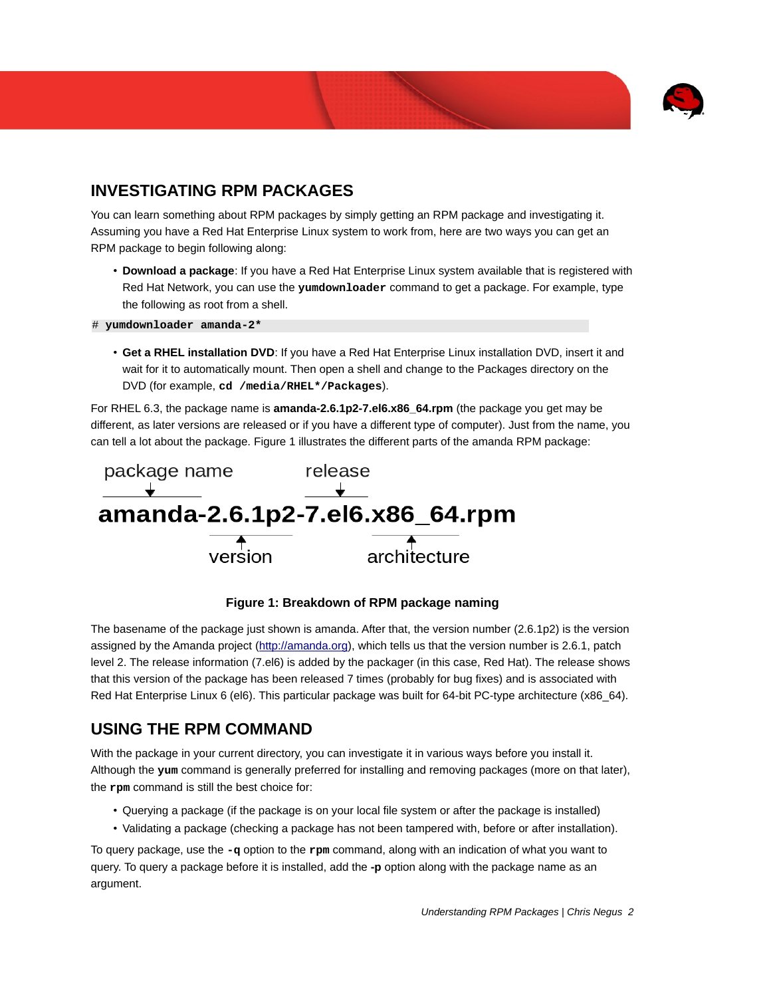

## **INVESTIGATING RPM PACKAGES**

You can learn something about RPM packages by simply getting an RPM package and investigating it. Assuming you have a Red Hat Enterprise Linux system to work from, here are two ways you can get an RPM package to begin following along:

- **Download a package**: If you have a Red Hat Enterprise Linux system available that is registered with Red Hat Network, you can use the **yumdownloader** command to get a package. For example, type the following as root from a shell.
- # **yumdownloader amanda-2\***
	- **Get a RHEL installation DVD**: If you have a Red Hat Enterprise Linux installation DVD, insert it and wait for it to automatically mount. Then open a shell and change to the Packages directory on the DVD (for example, **cd /media/RHEL\*/Packages**).

For RHEL 6.3, the package name is **amanda-2.6.1p2-7.el6.x86\_64.rpm** (the package you get may be different, as later versions are released or if you have a different type of computer). Just from the name, you can tell a lot about the package. Figure 1 illustrates the different parts of the amanda RPM package:





The basename of the package just shown is amanda. After that, the version number (2.6.1p2) is the version assigned by the Amanda project (http://amanda.org), which tells us that the version number is 2.6.1, patch level 2. The release information (7.el6) is added by the packager (in this case, Red Hat). The release shows that this version of the package has been released 7 times (probably for bug fixes) and is associated with Red Hat Enterprise Linux 6 (el6). This particular package was built for 64-bit PC-type architecture (x86 64).

### **USING THE RPM COMMAND**

With the package in your current directory, you can investigate it in various ways before you install it. Although the **yum** command is generally preferred for installing and removing packages (more on that later), the **rpm** command is still the best choice for:

- Querying a package (if the package is on your local file system or after the package is installed)
- Validating a package (checking a package has not been tampered with, before or after installation).

To query package, use the **-q** option to the **rpm** command, along with an indication of what you want to query. To query a package before it is installed, add the **-p** option along with the package name as an argument.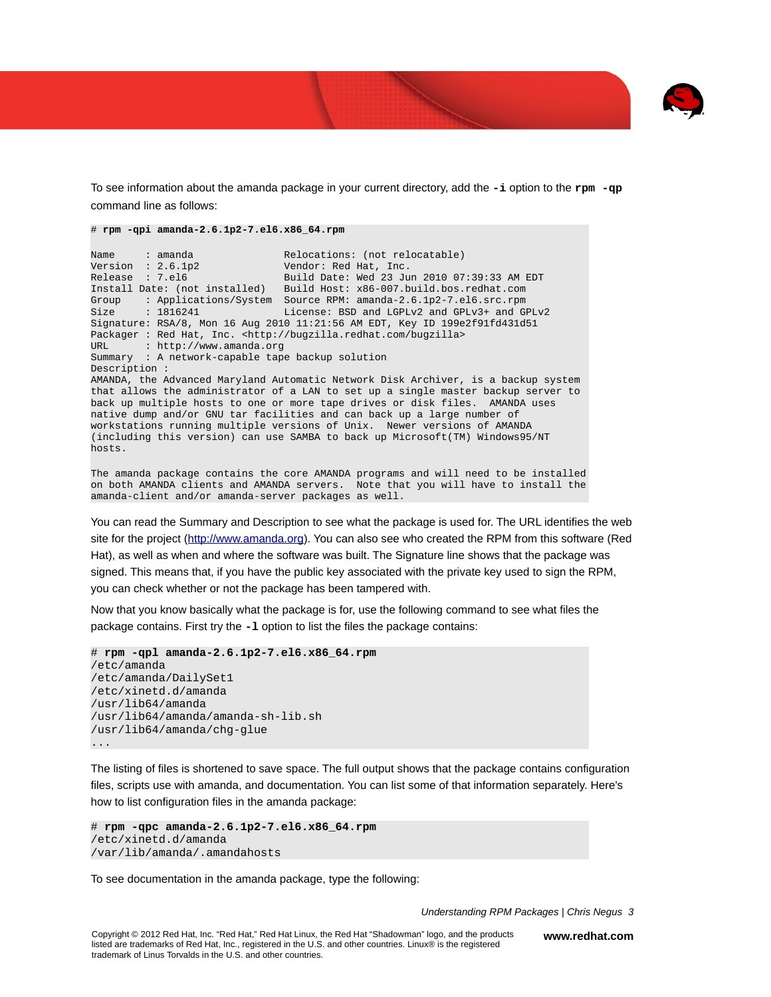

To see information about the amanda package in your current directory, add the **-i** option to the **rpm -qp** command line as follows:

```
# rpm -qpi amanda-2.6.1p2-7.el6.x86_64.rpm
```
Name : amanda Relocations: (not relocatable) Version : 2.6.1p2 Vendor: Red Hat, Inc. Release : 7.el6 Build Date: Wed 23 Jun 2010 07:39:33 AM EDT Build Host: x86-007.build.bos.redhat.com Group : Applications/System Source RPM: amanda-2.6.1p2-7.el6.src.rpm Size : 1816241 License: BSD and LGPLv2 and GPLv3+ and GPLv2 Signature: RSA/8, Mon 16 Aug 2010 11:21:56 AM EDT, Key ID 199e2f91fd431d51 Packager : Red Hat, Inc. <http://bugzilla.redhat.com/bugzilla> : http://www.amanda.org Summary : A network-capable tape backup solution Description : AMANDA, the Advanced Maryland Automatic Network Disk Archiver, is a backup system that allows the administrator of a LAN to set up a single master backup server to back up multiple hosts to one or more tape drives or disk files. AMANDA uses native dump and/or GNU tar facilities and can back up a large number of workstations running multiple versions of Unix. Newer versions of AMANDA (including this version) can use SAMBA to back up Microsoft(TM) Windows95/NT hosts.

The amanda package contains the core AMANDA programs and will need to be installed on both AMANDA clients and AMANDA servers. Note that you will have to install the amanda-client and/or amanda-server packages as well.

You can read the Summary and Description to see what the package is used for. The URL identifies the web site for the project (http://www.amanda.org). You can also see who created the RPM from this software (Red Hat), as well as when and where the software was built. The Signature line shows that the package was signed. This means that, if you have the public key associated with the private key used to sign the RPM, you can check whether or not the package has been tampered with.

Now that you know basically what the package is for, use the following command to see what files the package contains. First try the **-l** option to list the files the package contains:

```
# rpm -qpl amanda-2.6.1p2-7.el6.x86_64.rpm
/etc/amanda 
/etc/amanda/DailySet1 
/etc/xinetd.d/amanda 
/usr/lib64/amanda 
/usr/lib64/amanda/amanda-sh-lib.sh 
/usr/lib64/amanda/chg-glue 
...
```
The listing of files is shortened to save space. The full output shows that the package contains configuration files, scripts use with amanda, and documentation. You can list some of that information separately. Here's how to list configuration files in the amanda package:

```
# rpm -qpc amanda-2.6.1p2-7.el6.x86_64.rpm 
/etc/xinetd.d/amanda 
/var/lib/amanda/.amandahosts
```
To see documentation in the amanda package, type the following:

*Understanding RPM Packages | Chris Negus 3*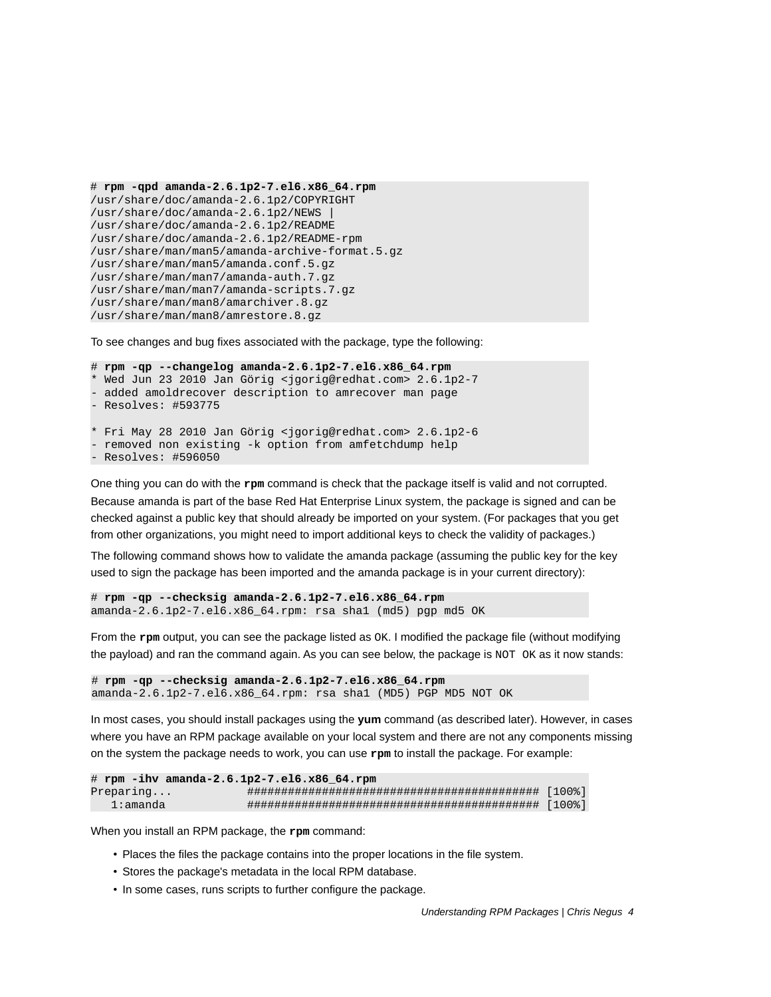```
# rpm -qpd amanda-2.6.1p2-7.el6.x86_64.rpm
/usr/share/doc/amanda-2.6.1p2/COPYRIGHT 
/usr/share/doc/amanda-2.6.1p2/NEWS |
/usr/share/doc/amanda-2.6.1p2/README 
/usr/share/doc/amanda-2.6.1p2/README-rpm 
/usr/share/man/man5/amanda-archive-format.5.gz 
/usr/share/man/man5/amanda.conf.5.gz 
/usr/share/man/man7/amanda-auth.7.gz 
/usr/share/man/man7/amanda-scripts.7.gz 
/usr/share/man/man8/amarchiver.8.gz 
/usr/share/man/man8/amrestore.8.gz
```
To see changes and bug fixes associated with the package, type the following:

```
# rpm -qp --changelog amanda-2.6.1p2-7.el6.x86_64.rpm
 Wed Jun 23 2010 Jan Görig <jgorig@redhat.com> 2.6.1p2-7
 added amoldrecover description to amrecover man page
 - Resolves: #593775 
* Fri May 28 2010 Jan Görig <jgorig@redhat.com> 2.6.1p2-6 
 removed non existing -k option from amfetchdump help
 - Resolves: #596050
```
One thing you can do with the **rpm** command is check that the package itself is valid and not corrupted. Because amanda is part of the base Red Hat Enterprise Linux system, the package is signed and can be checked against a public key that should already be imported on your system. (For packages that you get from other organizations, you might need to import additional keys to check the validity of packages.)

The following command shows how to validate the amanda package (assuming the public key for the key used to sign the package has been imported and the amanda package is in your current directory):

# **rpm -qp --checksig amanda-2.6.1p2-7.el6.x86\_64.rpm** amanda-2.6.1p2-7.el6.x86\_64.rpm: rsa sha1 (md5) pgp md5 OK

From the **rpm** output, you can see the package listed as OK. I modified the package file (without modifying the payload) and ran the command again. As you can see below, the package is NOT OK as it now stands:

# **rpm -qp --checksig amanda-2.6.1p2-7.el6.x86\_64.rpm** amanda-2.6.1p2-7.el6.x86\_64.rpm: rsa sha1 (MD5) PGP MD5 NOT OK

In most cases, you should install packages using the **yum** command (as described later). However, in cases where you have an RPM package available on your local system and there are not any components missing on the system the package needs to work, you can use **rpm** to install the package. For example:

| # rpm -ihv amanda-2.6.1p2-7.el6.x86 64.rpm |  |  |
|--------------------------------------------|--|--|
| Preparing                                  |  |  |
| 1:amanda                                   |  |  |

When you install an RPM package, the **rpm** command:

- Places the files the package contains into the proper locations in the file system.
- Stores the package's metadata in the local RPM database.
- In some cases, runs scripts to further configure the package.

*Understanding RPM Packages | Chris Negus 4*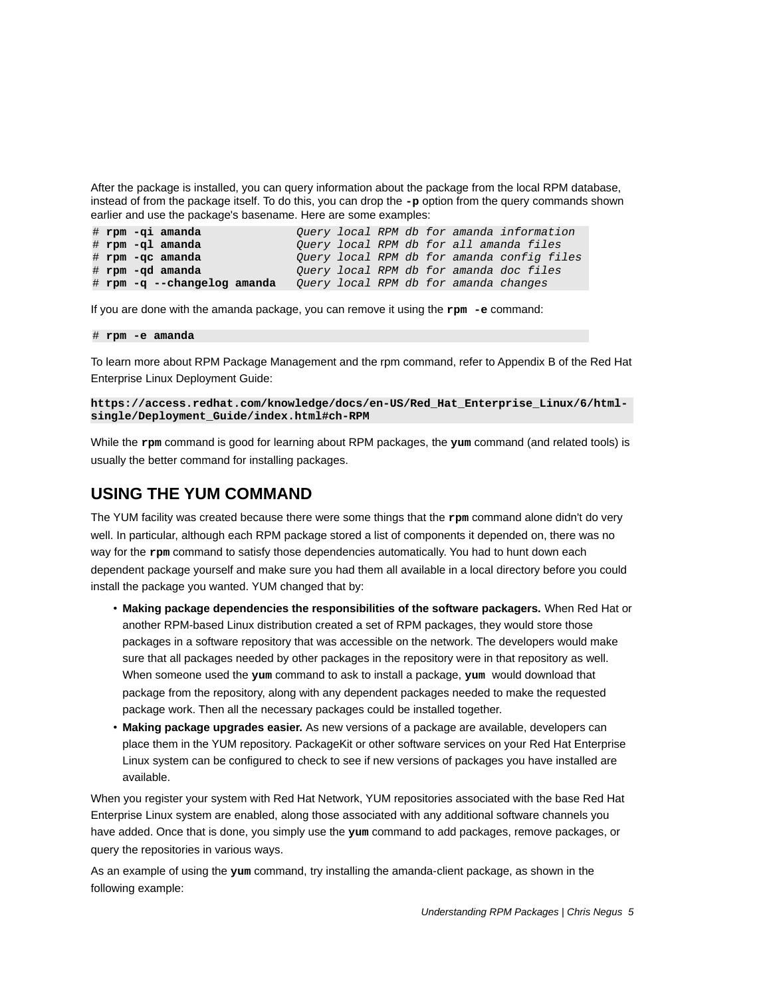After the package is installed, you can query information about the package from the local RPM database, instead of from the package itself. To do this, you can drop the **-p** option from the query commands shown earlier and use the package's basename. Here are some examples:

```
# rpm -qi amanda Query local RPM db for amanda information
# rpm -ql amanda Query local RPM db for all amanda files
# rpm -qc amanda Query local RPM db for amanda config files
                           # rpm -qd amanda Query local RPM db for amanda doc files
# rpm -q --changelog amanda Query local RPM db for amanda changes
```
If you are done with the amanda package, you can remove it using the **rpm -e** command:

#### # **rpm -e amanda**

To learn more about RPM Package Management and the rpm command, refer to Appendix B of the Red Hat Enterprise Linux Deployment Guide:

#### **https://access.redhat.com/knowledge/docs/en-US/Red\_Hat\_Enterprise\_Linux/6/htmlsingle/Deployment\_Guide/index.html#ch-RPM**

While the **rpm** command is good for learning about RPM packages, the **yum** command (and related tools) is usually the better command for installing packages.

#### **USING THE YUM COMMAND**

The YUM facility was created because there were some things that the **rpm** command alone didn't do very well. In particular, although each RPM package stored a list of components it depended on, there was no way for the **rpm** command to satisfy those dependencies automatically. You had to hunt down each dependent package yourself and make sure you had them all available in a local directory before you could install the package you wanted. YUM changed that by:

- **Making package dependencies the responsibilities of the software packagers.** When Red Hat or another RPM-based Linux distribution created a set of RPM packages, they would store those packages in a software repository that was accessible on the network. The developers would make sure that all packages needed by other packages in the repository were in that repository as well. When someone used the **yum** command to ask to install a package, **yum** would download that package from the repository, along with any dependent packages needed to make the requested package work. Then all the necessary packages could be installed together.
- **Making package upgrades easier.** As new versions of a package are available, developers can place them in the YUM repository. PackageKit or other software services on your Red Hat Enterprise Linux system can be configured to check to see if new versions of packages you have installed are available.

When you register your system with Red Hat Network, YUM repositories associated with the base Red Hat Enterprise Linux system are enabled, along those associated with any additional software channels you have added. Once that is done, you simply use the **yum** command to add packages, remove packages, or query the repositories in various ways.

As an example of using the **yum** command, try installing the amanda-client package, as shown in the following example: